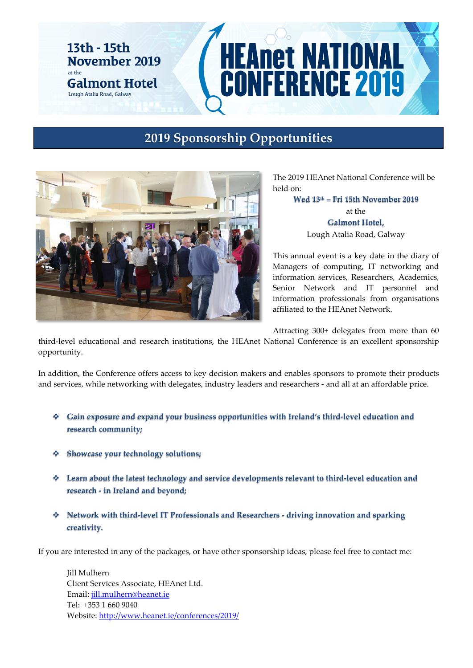#### 13th - 15th November 2019 at the **Galmont Hotel** Lough Atalia Road, Galway

# **HEAnet NATIONAL<br>CONFERENCE 2019**

# **2019 Sponsorship Opportunities**



The 2019 HEAnet National Conference will be held on:

> **Wed 13th – Fri 15th November 2019** at the **Galmont Hotel,**  Lough Atalia Road, Galway

This annual event is a key date in the diary of Managers of computing, IT networking and information services, Researchers, Academics, Senior Network and IT personnel and information professionals from organisations affiliated to the HEAnet Network.

Attracting 300+ delegates from more than 60

third-level educational and research institutions, the HEAnet National Conference is an excellent sponsorship opportunity.

In addition, the Conference offers access to key decision makers and enables sponsors to promote their products and services, while networking with delegates, industry leaders and researchers - and all at an affordable price.

- **Gain exposure and expand your business opportunities with Ireland's third-level education and research community;**
- **Showcase your technology solutions;**
- **Learn about the latest technology and service developments relevant to third-level education and research - in Ireland and beyond;**
- **Network with third-level IT Professionals and Researchers - driving innovation and sparking creativity.**

If you are interested in any of the packages, or have other sponsorship ideas, please feel free to contact me:

Jill Mulhern Client Services Associate, HEAnet Ltd. Email: [jill.mulhern@heanet.ie](mailto:jill.mulhern@heanet.ie) Tel: +353 1 660 9040 Website[: http://www.heanet.ie/conferences/2019/](http://www.heanet.ie/conferences/2019/)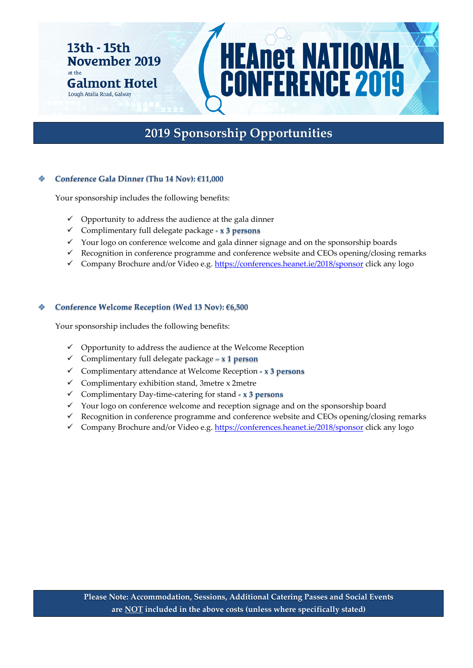#### 13th - 15th November 2019 at the **Galmont Hotel**

Lough Atalia Road, Galway

# **2019 Sponsorship Opportunities**

**EAnet NATIONAL<br>ONFERENCE 2019** 

#### **Conference Gala Dinner (Thu 14 Nov): €11,000**

Your sponsorship includes the following benefits:

- $\checkmark$  Opportunity to address the audience at the gala dinner
- Complimentary full delegate package **- x 3 persons**
- $\checkmark$  Your logo on conference welcome and gala dinner signage and on the sponsorship boards
- $\checkmark$  Recognition in conference programme and conference website and CEOs opening/closing remarks
- Company Brochure and/or Video e.g.<https://conferences.heanet.ie/2018/sponsor> click any logo

#### **Conference Welcome Reception (Wed 13 Nov): €6,500**

Your sponsorship includes the following benefits:

- $\checkmark$  Opportunity to address the audience at the Welcome Reception
- Complimentary full delegate package **– x 1 person**
- Complimentary attendance at Welcome Reception **- x 3 persons**
- $\checkmark$  Complimentary exhibition stand, 3metre x 2metre
- Complimentary Day-time-catering for stand **- x 3 persons**
- $\checkmark$  Your logo on conference welcome and reception signage and on the sponsorship board
- $\checkmark$  Recognition in conference programme and conference website and CEOs opening/closing remarks
- Company Brochure and/or Video e.g.<https://conferences.heanet.ie/2018/sponsor> click any logo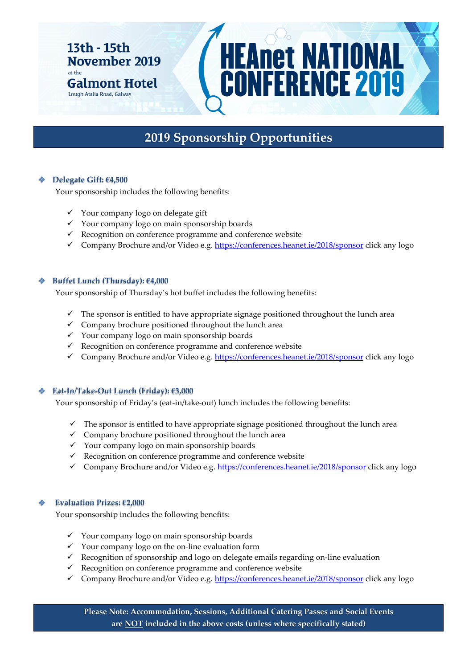#### 13th - 15th November 2019 at the **Galmont Hotel**

Lough Atalia Road, Galway

# **2019 Sponsorship Opportunities**

**EAnet NATIONAL**<br>CONFERENCE 2019

#### **Delegate Gift: €4,500**

Your sponsorship includes the following benefits:

- $\checkmark$  Your company logo on delegate gift
- $\checkmark$  Your company logo on main sponsorship boards
- $\checkmark$  Recognition on conference programme and conference website
- Company Brochure and/or Video e.g.<https://conferences.heanet.ie/2018/sponsor> click any logo

#### **Buffet Lunch (Thursday): €4,000**

Your sponsorship of Thursday's hot buffet includes the following benefits:

- The sponsor is entitled to have appropriate signage positioned throughout the lunch area
- $\checkmark$  Company brochure positioned throughout the lunch area
- $\checkmark$  Your company logo on main sponsorship boards
- $\checkmark$  Recognition on conference programme and conference website
- Company Brochure and/or Video e.g. <https://conferences.heanet.ie/2018/sponsor> click any logo

#### **Eat-In/Take-Out Lunch (Friday): €3,000**

Your sponsorship of Friday's (eat-in/take-out) lunch includes the following benefits:

- $\checkmark$  The sponsor is entitled to have appropriate signage positioned throughout the lunch area
- $\checkmark$  Company brochure positioned throughout the lunch area
- Your company logo on main sponsorship boards
- $\checkmark$  Recognition on conference programme and conference website
- Company Brochure and/or Video e.g[. https://conferences.heanet.ie/2018/sponsor](https://conferences.heanet.ie/2018/sponsor) click any logo

#### **Evaluation Prizes: €2,000**

Your sponsorship includes the following benefits:

- $\checkmark$  Your company logo on main sponsorship boards
- $\checkmark$  Your company logo on the on-line evaluation form
- $\checkmark$  Recognition of sponsorship and logo on delegate emails regarding on-line evaluation
- $\checkmark$  Recognition on conference programme and conference website
- Gompany Brochure and/or Video e.g.<https://conferences.heanet.ie/2018/sponsor> click any logo

**Please Note: Accommodation, Sessions, Additional Catering Passes and Social Events are NOT included in the above costs (unless where specifically stated)**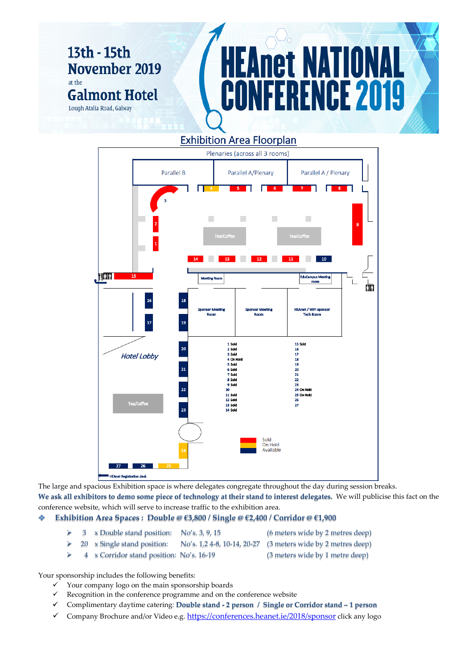## 13th - 15th **November 2019** at the **Galmont Hotel** Lough Atalia Road, Galway

# net NAT NCE 2019

### **Exhibition Area Floorplan**



The large and spacious Exhibition space is where delegates congregate throughout the day during session breaks. **We ask all exhibitors to demo some piece of technology at their stand to interest delegates.** We will publicise this fact on the conference website, which will serve to increase traffic to the exhibition area.

#### **Exhibition Area Spaces : Double @ €3,800 / Single @ €2,400 / Corridor @ €1,900**

- > 3 x Double stand position: No's. 3, 9, 15 (6 meters wide by 2 metres deep)
	-
- $\geq 20$  x Single stand position: No's. 1,2 4-8, 10-14, 20-27 (3 meters wide by 2 metres deep)
- 
- 4 x Corridor stand position: No's. 16-19 (3 meters wide by 1 metre deep)

Your sponsorship includes the following benefits:

- $\checkmark$  Your company logo on the main sponsorship boards
- $\checkmark$  Recognition in the conference programme and on the conference website
- Complimentary daytime catering: **Double stand - 2 person / Single or Corridor stand – 1 person**
- Company Brochure and/or Video e.g.  $\frac{https://conferences.heanet.ie/2018/sponsor}$  click any logo